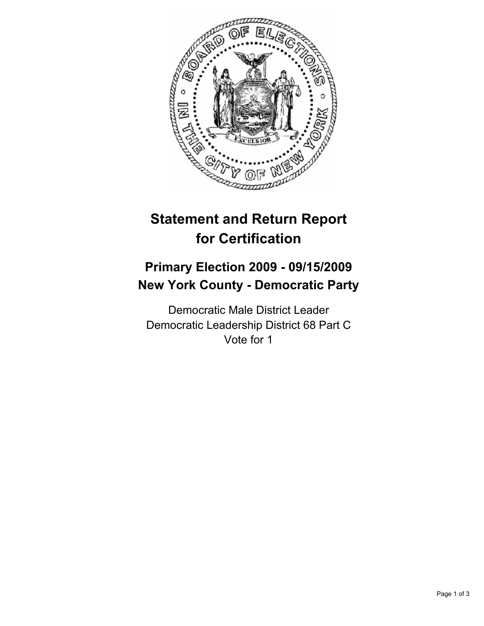

# **Statement and Return Report for Certification**

## **Primary Election 2009 - 09/15/2009 New York County - Democratic Party**

Democratic Male District Leader Democratic Leadership District 68 Part C Vote for 1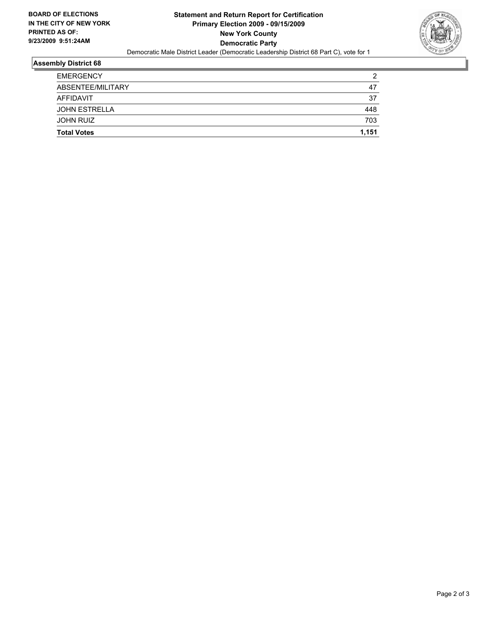

#### **Assembly District 68**

|                      | 703 |
|----------------------|-----|
| <b>JOHN RUIZ</b>     |     |
| <b>JOHN ESTRELLA</b> | 448 |
| AFFIDAVIT            | 37  |
| ABSENTEE/MILITARY    | 47  |
| <b>EMERGENCY</b>     | 2   |